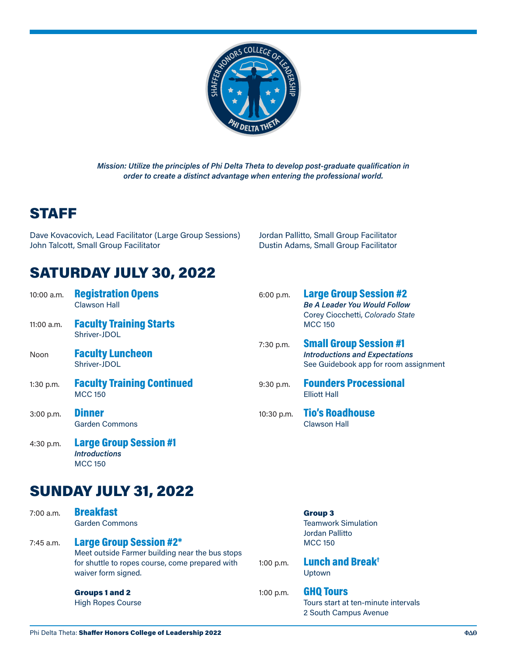

*Mission: Utilize the principles of Phi Delta Theta to develop post-graduate qualification in order to create a distinct advantage when entering the professional world.*

## STAFF

Dave Kovacovich, Lead Facilitator (Large Group Sessions) John Talcott, Small Group Facilitator

Jordan Pallitto, Small Group Facilitator Dustin Adams, Small Group Facilitator

# SATURDAY JULY 30, 2022

| $10:00$ a.m. | <b>Registration Opens</b><br><b>Clawson Hall</b>    | 6:00 p.m.      | <b>Large Group Session #2</b><br><b>Be A Leader You Would Follow</b><br>Corey Ciocchetti, Colorado State        |  |
|--------------|-----------------------------------------------------|----------------|-----------------------------------------------------------------------------------------------------------------|--|
| $11:00$ a.m. | <b>Faculty Training Starts</b><br>Shriver-JDOL      | <b>MCC 150</b> |                                                                                                                 |  |
| Noon         | <b>Faculty Luncheon</b><br>Shriver-JDOL             | 7:30 p.m.      | <b>Small Group Session #1</b><br><b>Introductions and Expectations</b><br>See Guidebook app for room assignment |  |
| $1:30$ p.m.  | <b>Faculty Training Continued</b><br><b>MCC 150</b> | 9:30 p.m.      | <b>Founders Processional</b><br><b>Elliott Hall</b>                                                             |  |
| $3:00$ p.m.  | <b>Dinner</b><br><b>Garden Commons</b>              | 10:30 p.m.     | <b>Tio's Roadhouse</b><br><b>Clawson Hall</b>                                                                   |  |

*Introductions* MCC 150

4:30 p.m. Large Group Session #1

### SUNDAY JULY 31, 2022

|           | waiver form signed.                                                                                                                  |             | Upt              |
|-----------|--------------------------------------------------------------------------------------------------------------------------------------|-------------|------------------|
| 7:45 a.m. | <b>Large Group Session #2*</b><br>Meet outside Farmer building near the bus stops<br>for shuttle to ropes course, come prepared with | $1:00$ p.m. | <b>MC</b><br>Lur |
|           | <b>Garden Commons</b>                                                                                                                |             | Tear<br>Jorc     |
| 7:00 a.m. | <b>Breakfast</b>                                                                                                                     |             | Gra              |

High Ropes Course

#### oup 3

mwork Simulation lan Pallitto  $C<sub>150</sub>$ 

nch and Break<sup>†</sup> own:

#### **Q** Tours

Tours start at ten-minute intervals 2 South Campus Avenue